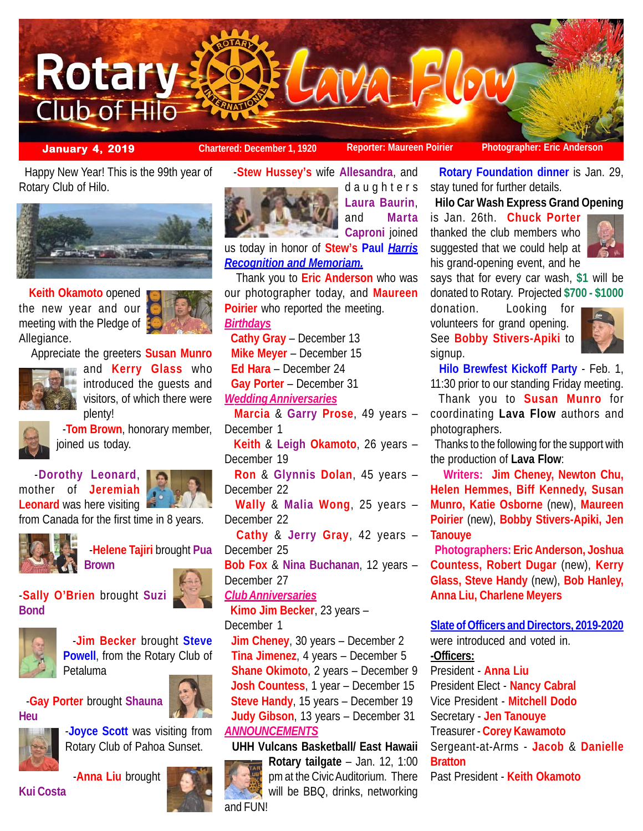

**January 4, 2019 Chartered: December 1, 1920** Reporter: Maureen Poirier **Photographer: Eric Anders** 

 Happy New Year! This is the 99th year of Rotary Club of Hilo.



 **Keith Okamoto** opened the new year and our meeting with the Pledge of Allegiance.



Appreciate the greeters **Susan Munro**



**and Kerry Glass** who introduced the guests and visitors, of which there were plenty!



 -**Tom Brown**, honorary member, joined us today.

 -**Dorothy Leonard**, from Canada for the first time in 8 years.



mother of **Jeremiah Leonard** was here visiting



 -**Helene Tajiri** brought **Pua Brown**

-**Sally O'Brien** brought **Suzi Bond**





 -**Jim Becker** brought **Steve Powell**, from the Rotary Club of Petaluma

 -**Gay Porter** brought **Shauna Heu**





-**Joyce Scott** was visiting from Rotary Club of Pahoa Sunset.

**Kui Costa**



-**Stew Hussey's** wife **Allesandra**, and



daughters **Laura Baurin**, and **Marta Caproni** ioined

us today in honor of **Stew's Paul** *Harris Recognition and Memoriam.*

 Thank you to **Eric Anderson** who was our photographer today, and **Maureen Poirier** who reported the meeting. *Birthdays* **Cathy Gray** – December 13 **Mike Meyer** – December 15 **Ed Hara** – December 24 **Gay Porter** – December 31 *Wedding Anniversaries* **Marcia** & **Garry Prose**, 49 years – December 1 **Keith** & **Leigh Okamoto**, 26 years – December 19 **Ron** & **Glynnis Dolan**, 45 years – December 22 **Wally** & **Malia Wong**, 25 years – December 22 **Cathy** & **Jerry Gray**, 42 years – December 25 **Bob Fox** & **Nina Buchanan**, 12 years – December 27 *Club Anniversaries* **Kimo Jim Becker**, 23 years – December 1

 **Jim Cheney**, 30 years – December 2 **Tina Jimenez**, 4 years – December 5 **Shane Okimoto**, 2 years – December 9 **Josh Countess**, 1 year – December 15 **Steve Handy**, 15 years – December 19 **Judy Gibson**, 13 years – December 31 *ANNOUNCEMENTS*

 **UHH Vulcans Basketball/ East Hawaii Rotary tailgate** – Jan. 12, 1:00 pm at the Civic Auditorium. There will be BBQ, drinks, networking and FUN!

 **Rotary Foundation dinner** is Jan. 29, stay tuned for further details.

**Hilo Car Wash Express Grand Opening**

is Jan. 26th. **Chuck Porter** thanked the club members who suggested that we could help at his grand-opening event, and he



says that for every car wash, **\$1** will be donated to Rotary. Projected **\$700 - \$1000**

donation. Looking for volunteers for grand opening. See **Bobby Stivers-Apiki** to signup.



 **Hilo Brewfest Kickoff Party** - Feb. 1, 11:30 prior to our standing Friday meeting.

 Thank you to **Susan Munro** for coordinating **Lava Flow** authors and photographers.

 Thanks to the following for the support with the production of **Lava Flow**:

 **Writers: Jim Cheney, Newton Chu, Helen Hemmes, Biff Kennedy, Susan Munro, Katie Osborne** (new), **Maureen Poirier** (new), **Bobby Stivers-Apiki, Jen Tanouye**

 **Photographers: Eric Anderson, Joshua Countess, Robert Dugar** (new), **Kerry Glass, Steve Handy** (new), **Bob Hanley, Anna Liu, Charlene Meyers**

**Slate of Officers and Directors, 2019-2020**

were introduced and voted in. **-Officers:** President - **Anna Liu** President Elect - **Nancy Cabral**

Vice President - **Mitchell Dodo**

Secretary - **Jen Tanouye**

Treasurer - **Corey Kawamoto** Sergeant-at-Arms - **Jacob** & **Danielle**

# **Bratton**

Past President - **Keith Okamoto**